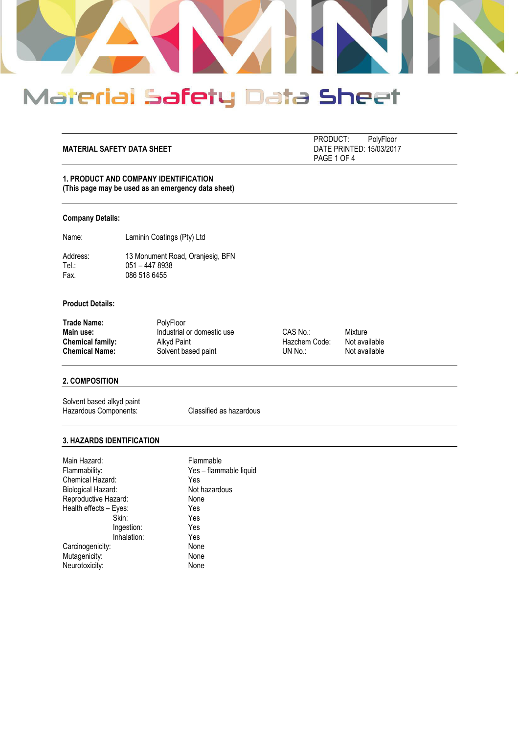

## **MATERIAL SAFETY DATA SHEET** DATE PRINTED: 15/03/2017

 PRODUCT: PolyFloor PAGE 1 OF 4

### **1. PRODUCT AND COMPANY IDENTIFICATION (This page may be used as an emergency data sheet)**

#### **Company Details:**

Name: Laminin Coatings (Pty) Ltd

Address: 13 Monument Road, Oranjesig, BFN<br>Tel.: 051 - 447 8938 Tel.: 051 – 447 8938<br>Fax. 086 518 6455 086 518 6455

## **Product Details:**

| <b>Trade Name:</b>      | <b>PolvFloor</b>           |               |               |
|-------------------------|----------------------------|---------------|---------------|
| Main use:               | Industrial or domestic use | $CAS$ No.:    | Mixture       |
| <b>Chemical family:</b> | Alkyd Paint                | Hazchem Code: | Not available |
| <b>Chemical Name:</b>   | Solvent based paint        | UN No.:       | Not available |

## **2. COMPOSITION**

Solvent based alkyd paint Hazardous Components: Classified as hazardous

#### **3. HAZARDS IDENTIFICATION**

| Main Hazard:           |             | Flammable              |
|------------------------|-------------|------------------------|
| Flammability:          |             | Yes - flammable liquid |
| Chemical Hazard:       |             | Yes                    |
| Biological Hazard:     |             | Not hazardous          |
| Reproductive Hazard:   |             | None                   |
| Health effects - Eyes: |             | Yes                    |
|                        | Skin:       | Yes                    |
|                        | Ingestion:  | Yes                    |
|                        | Inhalation: | Yes                    |
| Carcinogenicity:       |             | None                   |
| Mutagenicity:          |             | None                   |
| Neurotoxicity:         |             | None                   |
|                        |             |                        |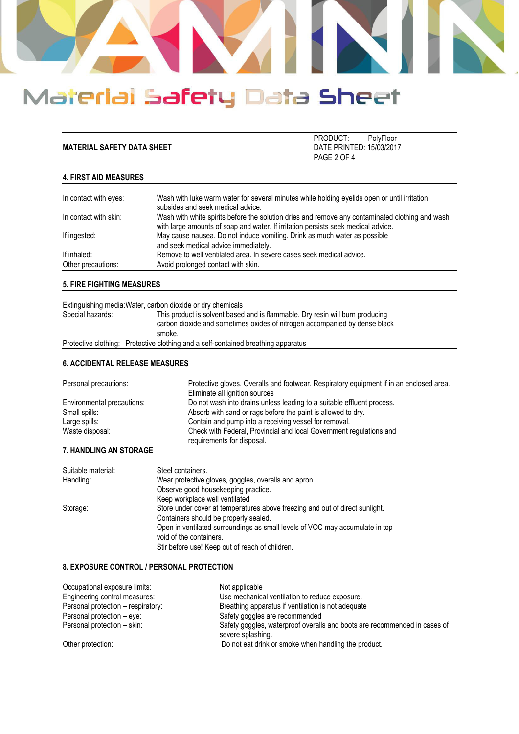

| <b>MATERIAL SAFETY DATA SHEET</b> | PRODUCT:<br>DATE PRINTED: 15/03/2017 | PolyFloor |
|-----------------------------------|--------------------------------------|-----------|
|                                   | PAGE 2 OF 4                          |           |

#### **4. FIRST AID MEASURES**

| In contact with eyes:             | Wash with luke warm water for several minutes while holding eyelids open or until irritation<br>subsides and seek medical advice.                                                    |
|-----------------------------------|--------------------------------------------------------------------------------------------------------------------------------------------------------------------------------------|
| In contact with skin:             | Wash with white spirits before the solution dries and remove any contaminated clothing and wash<br>with large amounts of soap and water. If irritation persists seek medical advice. |
| If ingested:                      | May cause nausea. Do not induce vomiting. Drink as much water as possible<br>and seek medical advice immediately.                                                                    |
| If inhaled:<br>Other precautions: | Remove to well ventilated area. In severe cases seek medical advice.<br>Avoid prolonged contact with skin.                                                                           |

### **5. FIRE FIGHTING MEASURES**

|                  | Extinguishing media: Water, carbon dioxide or dry chemicals                                                                                                           |
|------------------|-----------------------------------------------------------------------------------------------------------------------------------------------------------------------|
| Special hazards: | This product is solvent based and is flammable. Dry resin will burn producing<br>carbon dioxide and sometimes oxides of nitrogen accompanied by dense black<br>smoke. |
|                  | Protective clothing: Protective clothing and a self-contained breathing apparatus                                                                                     |

#### **6. ACCIDENTAL RELEASE MEASURES**

| Personal precautions:      | Protective gloves. Overalls and footwear. Respiratory equipment if in an enclosed area.<br>Eliminate all ignition sources |
|----------------------------|---------------------------------------------------------------------------------------------------------------------------|
| Environmental precautions: | Do not wash into drains unless leading to a suitable effluent process.                                                    |
| Small spills:              | Absorb with sand or rags before the paint is allowed to dry.                                                              |
| Large spills:              | Contain and pump into a receiving vessel for removal.                                                                     |
| Waste disposal:            | Check with Federal, Provincial and local Government regulations and<br>requirements for disposal.                         |
| 7.11                       |                                                                                                                           |

## **7. HANDLING AN STORAGE**

| Suitable material: | Steel containers.                                                            |
|--------------------|------------------------------------------------------------------------------|
| Handling:          | Wear protective gloves, goggles, overalls and apron                          |
|                    | Observe good housekeeping practice.                                          |
|                    | Keep workplace well ventilated                                               |
| Storage:           | Store under cover at temperatures above freezing and out of direct sunlight. |
|                    | Containers should be properly sealed.                                        |
|                    | Open in ventilated surroundings as small levels of VOC may accumulate in top |
|                    | void of the containers.                                                      |
|                    | Stir before use! Keep out of reach of children.                              |

#### **8. EXPOSURE CONTROL / PERSONAL PROTECTION**

| Occupational exposure limits:      | Not applicable                                                                                 |
|------------------------------------|------------------------------------------------------------------------------------------------|
| Engineering control measures:      | Use mechanical ventilation to reduce exposure.                                                 |
| Personal protection - respiratory: | Breathing apparatus if ventilation is not adequate                                             |
| Personal protection – eye:         | Safety goggles are recommended                                                                 |
| Personal protection - skin:        | Safety goggles, waterproof overalls and boots are recommended in cases of<br>severe splashing. |
| Other protection:                  | Do not eat drink or smoke when handling the product.                                           |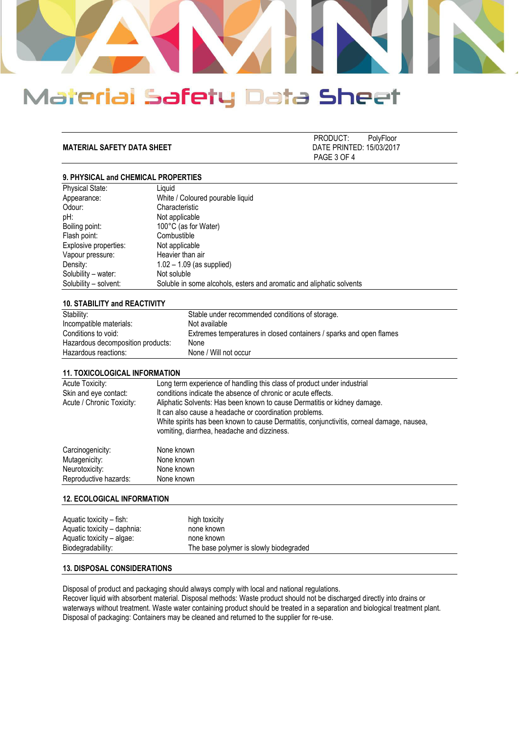

**MATERIAL SAFETY DATA SHEET** 

PRODUCT: PolyFloor<br>DATE PRINTED: 15/03/2017 PAGE 3 OF 4

## **9. PHYSICAL and CHEMICAL PROPERTIES**

| Physical State:       | Liauid                                                               |
|-----------------------|----------------------------------------------------------------------|
| Appearance:           | White / Coloured pourable liquid                                     |
| Odour:                | Characteristic                                                       |
| pH:                   | Not applicable                                                       |
| Boiling point:        | 100°C (as for Water)                                                 |
| Flash point:          | Combustible                                                          |
| Explosive properties: | Not applicable                                                       |
| Vapour pressure:      | Heavier than air                                                     |
| Density:              | $1.02 - 1.09$ (as supplied)                                          |
| Solubility – water:   | Not soluble                                                          |
| Solubility – solvent: | Soluble in some alcohols, esters and aromatic and aliphatic solvents |
|                       |                                                                      |

#### **10. STABILITY and REACTIVITY**

| Stability:                        | Stable under recommended conditions of storage.                     |
|-----------------------------------|---------------------------------------------------------------------|
| Incompatible materials:           | Not available                                                       |
| Conditions to void:               | Extremes temperatures in closed containers / sparks and open flames |
| Hazardous decomposition products: | None                                                                |
| Hazardous reactions:              | None / Will not occur                                               |

#### **11. TOXICOLOGICAL INFORMATION**

| Acute Toxicity:<br>Skin and eye contact:<br>Acute / Chronic Toxicity: | Long term experience of handling this class of product under industrial<br>conditions indicate the absence of chronic or acute effects.<br>Aliphatic Solvents: Has been known to cause Dermatitis or kidney damage.<br>It can also cause a headache or coordination problems.<br>White spirits has been known to cause Dermatitis, conjunctivitis, corneal damage, nausea,<br>vomiting, diarrhea, headache and dizziness. |
|-----------------------------------------------------------------------|---------------------------------------------------------------------------------------------------------------------------------------------------------------------------------------------------------------------------------------------------------------------------------------------------------------------------------------------------------------------------------------------------------------------------|
| Carcinogenicity:                                                      | None known                                                                                                                                                                                                                                                                                                                                                                                                                |
| Mutagenicity:                                                         | None known                                                                                                                                                                                                                                                                                                                                                                                                                |
| Neurotoxicity:                                                        | None known                                                                                                                                                                                                                                                                                                                                                                                                                |
| Reproductive hazards:                                                 | None known                                                                                                                                                                                                                                                                                                                                                                                                                |

#### **12. ECOLOGICAL INFORMATION**

| Aquatic toxicity – fish:<br>Aquatic toxicity - daphnia: | high toxicity<br>none known            |
|---------------------------------------------------------|----------------------------------------|
| Aquatic toxicity – algae:                               | none known                             |
| Biodegradability:                                       | The base polymer is slowly biodegraded |

### **13. DISPOSAL CONSIDERATIONS**

Disposal of product and packaging should always comply with local and national regulations.

Recover liquid with absorbent material. Disposal methods: Waste product should not be discharged directly into drains or waterways without treatment. Waste water containing product should be treated in a separation and biological treatment plant. Disposal of packaging: Containers may be cleaned and returned to the supplier for re-use.